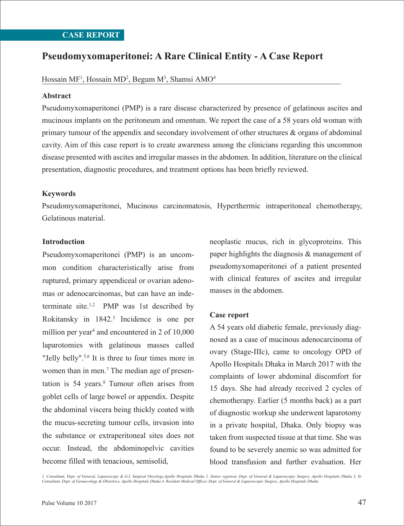# **Pseudomyxomaperitonei: A Rare Clinical Entity - A Case Report**

## Hossain MF<sup>1</sup>, Hossain MD<sup>2</sup>, Begum M<sup>3</sup>, Shamsi AMO<sup>4</sup>

#### **Abstract**

Pseudomyxomaperitonei (PMP) is a rare disease characterized by presence of gelatinous ascites and mucinous implants on the peritoneum and omentum. We report the case of a 58 years old woman with primary tumour of the appendix and secondary involvement of other structures & organs of abdominal cavity. Aim of this case report is to create awareness among the clinicians regarding this uncommon disease presented with ascites and irregular masses in the abdomen. In addition, literature on the clinical presentation, diagnostic procedures, and treatment options has been briefly reviewed.

#### **Keywords**

Pseudomyxomaperitonei, Mucinous carcinomatosis, Hyperthermic intraperitoneal chemotherapy, Gelatinous material.

#### **Introduction**

Pseudomyxomaperitonei (PMP) is an uncommon condition characteristically arise from ruptured, primary appendiceal or ovarian adenomas or adenocarcinomas, but can have an indeterminate site.<sup>1,2</sup> PMP was 1st described by Rokitansky in 1842.3 Incidence is one per million per year<sup>4</sup> and encountered in 2 of  $10,000$ laparotomies with gelatinous masses called "Jelly belly".<sup>5,6</sup> It is three to four times more in women than in men.<sup>7</sup> The median age of presentation is 54 years.<sup>8</sup> Tumour often arises from goblet cells of large bowel or appendix. Despite the abdominal viscera being thickly coated with the mucus-secreting tumour cells, invasion into the substance or extraperitoneal sites does not occur. Instead, the abdominopelvic cavities become filled with tenacious, semisolid,

neoplastic mucus, rich in glycoproteins. This paper highlights the diagnosis & management of pseudomyxomaperitonei of a patient presented with clinical features of ascites and irregular masses in the abdomen.

### **Case report**

A 54 years old diabetic female, previously diagnosed as a case of mucinous adenocarcinoma of ovary (Stage-IIIc), came to oncology OPD of Apollo Hospitals Dhaka in March 2017 with the complaints of lower abdominal discomfort for 15 days. She had already received 2 cycles of chemotherapy. Earlier (5 months back) as a part of diagnostic workup she underwent laparotomy in a private hospital, Dhaka. Only biopsy was taken from suspected tissue at that time. She was found to be severely anemic so was admitted for blood transfusion and further evaluation. Her

*1. Consultant, Dept. of General, Laparoscopy & G.I. Surgical Oncology,Apollo Hospitals Dhaka 2. Senior registrar, Dept. of General & Laparoscopic Surgery, Apollo Hospitals Dhaka 3. Sr. Consultant, Dept. of Gynaecology & Obstetrics, Apollo Hospitals Dhaka 4. Resident Medical Officer, Dept. of General & Laparoscopic Surgery, Apollo Hospitals Dhaka*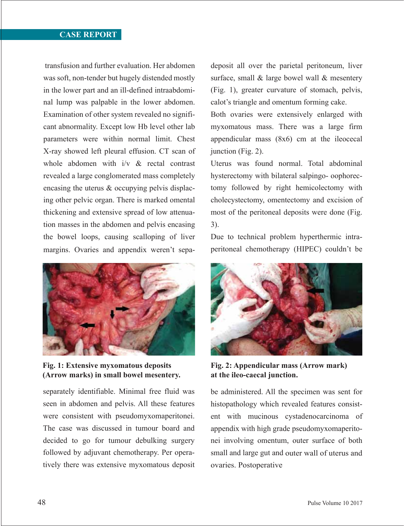transfusion and further evaluation. Her abdomen was soft, non-tender but hugely distended mostly in the lower part and an ill-defined intraabdominal lump was palpable in the lower abdomen. Examination of other system revealed no significant abnormality. Except low Hb level other lab parameters were within normal limit. Chest X-ray showed left pleural effusion. CT scan of whole abdomen with i/v & rectal contrast revealed a large conglomerated mass completely encasing the uterus & occupying pelvis displacing other pelvic organ. There is marked omental thickening and extensive spread of low attenuation masses in the abdomen and pelvis encasing the bowel loops, causing scalloping of liver margins. Ovaries and appendix weren't sepa-



**Fig. 1: Extensive myxomatous deposits (Arrow marks) in small bowel mesentery.** 

separately identifiable. Minimal free fluid was seen in abdomen and pelvis. All these features were consistent with pseudomyxomaperitonei. The case was discussed in tumour board and decided to go for tumour debulking surgery followed by adjuvant chemotherapy. Per operatively there was extensive myxomatous deposit

deposit all over the parietal peritoneum, liver surface, small & large bowel wall & mesentery (Fig. 1), greater curvature of stomach, pelvis, calot's triangle and omentum forming cake.

Both ovaries were extensively enlarged with myxomatous mass. There was a large firm appendicular mass (8x6) cm at the ileocecal junction (Fig. 2).

Uterus was found normal. Total abdominal hysterectomy with bilateral salpingo- oophorectomy followed by right hemicolectomy with cholecystectomy, omentectomy and excision of most of the peritoneal deposits were done (Fig. 3).

Due to technical problem hyperthermic intraperitoneal chemotherapy (HIPEC) couldn't be



**Fig. 2: Appendicular mass (Arrow mark) at the ileo-caecal junction.**

be administered. All the specimen was sent for histopathology which revealed features consistent with mucinous cystadenocarcinoma of appendix with high grade pseudomyxomaperitonei involving omentum, outer surface of both small and large gut and outer wall of uterus and ovaries. Postoperative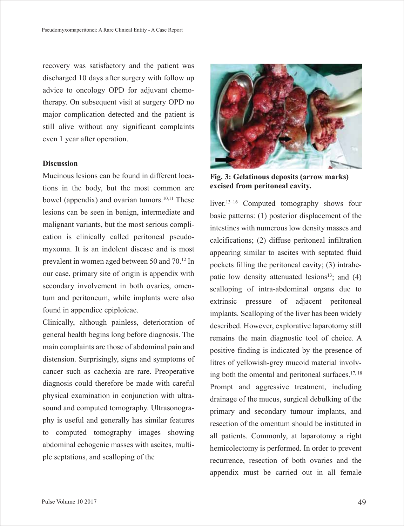recovery was satisfactory and the patient was discharged 10 days after surgery with follow up advice to oncology OPD for adjuvant chemotherapy. On subsequent visit at surgery OPD no major complication detected and the patient is still alive without any significant complaints even 1 year after operation.

## **Discussion**

Mucinous lesions can be found in different locations in the body, but the most common are bowel (appendix) and ovarian tumors.<sup>10,11</sup> These lesions can be seen in benign, intermediate and malignant variants, but the most serious complication is clinically called peritoneal pseudomyxoma. It is an indolent disease and is most prevalent in women aged between 50 and 70.12 In our case, primary site of origin is appendix with secondary involvement in both ovaries, omentum and peritoneum, while implants were also found in appendice epiploicae.

Clinically, although painless, deterioration of general health begins long before diagnosis. The main complaints are those of abdominal pain and distension. Surprisingly, signs and symptoms of cancer such as cachexia are rare. Preoperative diagnosis could therefore be made with careful physical examination in conjunction with ultrasound and computed tomography. Ultrasonography is useful and generally has similar features to computed tomography images showing abdominal echogenic masses with ascites, multiple septations, and scalloping of the



**Fig. 3: Gelatinous deposits (arrow marks) excised from peritoneal cavity.**

liver.<sup>13–16</sup> Computed tomography shows four basic patterns: (1) posterior displacement of the intestines with numerous low density masses and calcifications; (2) diffuse peritoneal infiltration appearing similar to ascites with septated fluid pockets filling the peritoneal cavity; (3) intrahepatic low density attenuated lesions<sup>13</sup>; and  $(4)$ scalloping of intra-abdominal organs due to extrinsic pressure of adjacent peritoneal implants. Scalloping of the liver has been widely described. However, explorative laparotomy still remains the main diagnostic tool of choice. A positive finding is indicated by the presence of litres of yellowish-grey mucoid material involving both the omental and peritoneal surfaces.17, 18 Prompt and aggressive treatment, including drainage of the mucus, surgical debulking of the primary and secondary tumour implants, and resection of the omentum should be instituted in all patients. Commonly, at laparotomy a right hemicolectomy is performed. In order to prevent recurrence, resection of both ovaries and the appendix must be carried out in all female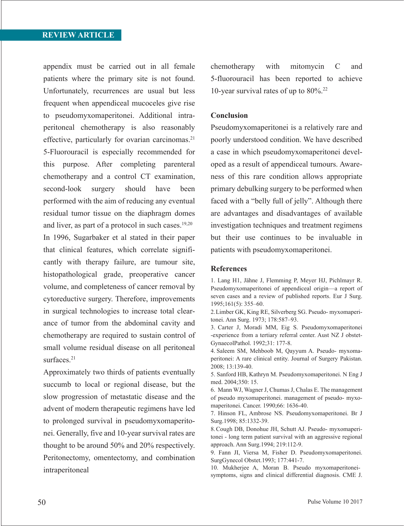appendix must be carried out in all female patients where the primary site is not found. Unfortunately, recurrences are usual but less frequent when appendiceal mucoceles give rise to pseudomyxomaperitonei. Additional intraperitoneal chemotherapy is also reasonably effective, particularly for ovarian carcinomas. $21$ 5-Fluorouracil is especially recommended for this purpose. After completing parenteral chemotherapy and a control CT examination, second-look surgery should have been performed with the aim of reducing any eventual residual tumor tissue on the diaphragm domes and liver, as part of a protocol in such cases.<sup>19,20</sup> In 1996, Sugarbaker et al stated in their paper that clinical features, which correlate significantly with therapy failure, are tumour site, histopathological grade, preoperative cancer volume, and completeness of cancer removal by cytoreductive surgery. Therefore, improvements in surgical technologies to increase total clearance of tumor from the abdominal cavity and chemotherapy are required to sustain control of small volume residual disease on all peritoneal surfaces.<sup>21</sup>

Approximately two thirds of patients eventually succumb to local or regional disease, but the slow progression of metastatic disease and the advent of modern therapeutic regimens have led to prolonged survival in pseudomyxomaperitonei. Generally, five and 10-year survival rates are thought to be around 50% and 20% respectively. Peritonectomy, omentectomy, and combination intraperitoneal

chemotherapy with mitomycin C and 5-fluorouracil has been reported to achieve 10-year survival rates of up to 80%.22

#### **Conclusion**

Pseudomyxomaperitonei is a relatively rare and poorly understood condition. We have described a case in which pseudomyxomaperitonei developed as a result of appendiceal tumours. Awareness of this rare condition allows appropriate primary debulking surgery to be performed when faced with a "belly full of jelly". Although there are advantages and disadvantages of available investigation techniques and treatment regimens but their use continues to be invaluable in patients with pseudomyxomaperitonei.

#### **References**

1. Lang H1, Jähne J, Flemming P, Meyer HJ, Pichlmayr R. Pseudomyxomaperitonei of appendiceal origin—a report of seven cases and a review of published reports. Eur J Surg. 1995;161(5): 355–60.

2.Limber GK, King RE, Silverberg SG. Pseudo- myxomaperitonei. Ann Surg. 1973; 178:587–93.

3. Carter J, Moradi MM, Eig S. Pseudomyxomaperitonei -experience from a tertiary referral center. Aust NZ J obstet-GynaecolPathol. 1992;31: 177-8.

4. Saleem SM, Mehboob M, Qayyum A. Pseudo- myxomaperitonei: A rare clinical entity. Journal of Surgery Pakistan. 2008; 13:139-40.

5. Sanford HB, Kathryn M. Pseudomyxomaperitonei. N Eng J med. 2004;350: 15.

6. Mann WJ, Wagner J, Chumas J, Chalas E. The management of pseudo myxomaperitonei. management of pseudo- myxomaperitonei. Cancer. 1990;66: 1636-40.

7. Hinson FL, Ambrose NS. Pseudomyxomaperitonei. Br J Surg.1998; 85:1332-39.

8.Cough DB, Donohue JH, Schutt AJ. Pseudo- myxomaperitonei - long term patient survival with an aggressive regional approach. Ann Surg.1994; 219:112-9.

9. Fann JI, Viersa M, Fisher D. Pseudomyxomaperitonei. SurgGynecol Obstet.1993; 177:441-7.

10. Mukherjee A, Moran B. Pseudo myxomaperitoneisymptoms, signs and clinical differential diagnosis. CME J.